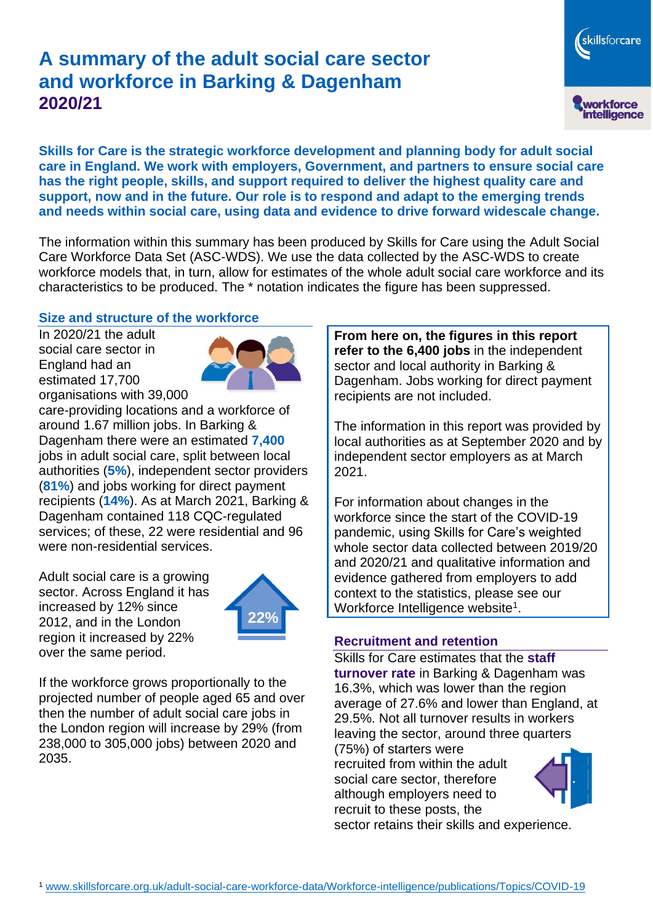# **A summary of the adult social care sector and workforce in Barking & Dagenham 2020/21**

skillsforcare workforce<br>intelligence

**Skills for Care is the strategic workforce development and planning body for adult social care in England. We work with employers, Government, and partners to ensure social care has the right people, skills, and support required to deliver the highest quality care and support, now and in the future. Our role is to respond and adapt to the emerging trends and needs within social care, using data and evidence to drive forward widescale change.**

The information within this summary has been produced by Skills for Care using the Adult Social Care Workforce Data Set (ASC-WDS). We use the data collected by the ASC-WDS to create workforce models that, in turn, allow for estimates of the whole adult social care workforce and its characteristics to be produced. The \* notation indicates the figure has been suppressed.

#### **Size and structure of the workforce**

In 2020/21 the adult social care sector in England had an estimated 17,700 organisations with 39,000



care-providing locations and a workforce of around 1.67 million jobs. In Barking & Dagenham there were an estimated **7,400** jobs in adult social care, split between local authorities (**5%**), independent sector providers (**81%**) and jobs working for direct payment recipients (**14%**). As at March 2021, Barking & Dagenham contained 118 CQC-regulated services; of these, 22 were residential and 96 were non-residential services.

Adult social care is a growing sector. Across England it has increased by 12% since 2012, and in the London region it increased by 22% over the same period.



If the workforce grows proportionally to the projected number of people aged 65 and over then the number of adult social care jobs in the London region will increase by 29% (from 238,000 to 305,000 jobs) between 2020 and 2035.

**From here on, the figures in this report refer to the 6,400 jobs** in the independent sector and local authority in Barking & Dagenham. Jobs working for direct payment recipients are not included.

The information in this report was provided by local authorities as at September 2020 and by independent sector employers as at March 2021.

For information about changes in the workforce since the start of the COVID-19 pandemic, using Skills for Care's weighted whole sector data collected between 2019/20 and 2020/21 and qualitative information and evidence gathered from employers to add context to the statistics, please see our Workforce Intelligence website<sup>1</sup>.

#### **Recruitment and retention**

Skills for Care estimates that the **staff turnover rate** in Barking & Dagenham was 16.3%, which was lower than the region average of 27.6% and lower than England, at 29.5%. Not all turnover results in workers leaving the sector, around three quarters

(75%) of starters were recruited from within the adult social care sector, therefore although employers need to recruit to these posts, the sector retains their skills and experience.

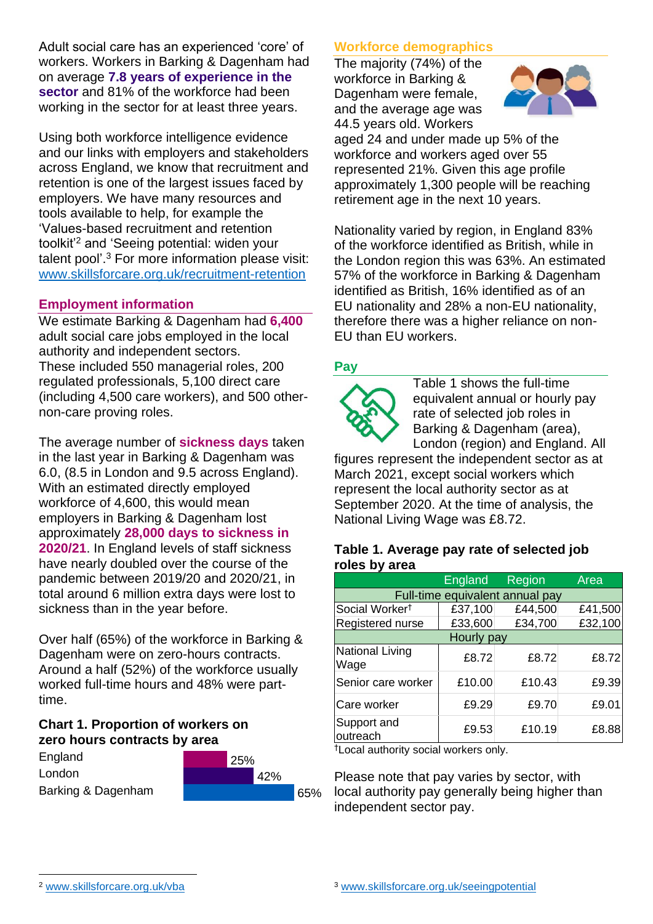Adult social care has an experienced 'core' of workers. Workers in Barking & Dagenham had on average **7.8 years of experience in the sector** and 81% of the workforce had been working in the sector for at least three years.

Using both workforce intelligence evidence and our links with employers and stakeholders across England, we know that recruitment and retention is one of the largest issues faced by employers. We have many resources and tools available to help, for example the 'Values-based recruitment and retention toolkit'<sup>2</sup> and 'Seeing potential: widen your talent pool'. <sup>3</sup> For more information please visit: [www.skillsforcare.org.uk/recruitment-retention](http://www.skillsforcare.org.uk/recruitment-retention)

#### **Employment information**

We estimate Barking & Dagenham had **6,400** adult social care jobs employed in the local authority and independent sectors. These included 550 managerial roles, 200 regulated professionals, 5,100 direct care (including 4,500 care workers), and 500 othernon-care proving roles.

The average number of **sickness days** taken in the last year in Barking & Dagenham was 6.0, (8.5 in London and 9.5 across England). With an estimated directly employed workforce of 4,600, this would mean employers in Barking & Dagenham lost approximately **28,000 days to sickness in 2020/21**. In England levels of staff sickness have nearly doubled over the course of the pandemic between 2019/20 and 2020/21, in total around 6 million extra days were lost to sickness than in the year before.

Over half (65%) of the workforce in Barking & Dagenham were on zero-hours contracts. Around a half (52%) of the workforce usually worked full-time hours and 48% were parttime.

#### **Chart 1. Proportion of workers on zero hours contracts by area**



## **Workforce demographics**

The majority (74%) of the workforce in Barking & Dagenham were female, and the average age was 44.5 years old. Workers



aged 24 and under made up 5% of the workforce and workers aged over 55 represented 21%. Given this age profile approximately 1,300 people will be reaching retirement age in the next 10 years.

Nationality varied by region, in England 83% of the workforce identified as British, while in the London region this was 63%. An estimated 57% of the workforce in Barking & Dagenham identified as British, 16% identified as of an EU nationality and 28% a non-EU nationality, therefore there was a higher reliance on non-EU than EU workers.

## **Pay**



Table 1 shows the full-time equivalent annual or hourly pay rate of selected job roles in Barking & Dagenham (area), London (region) and England. All

figures represent the independent sector as at March 2021, except social workers which represent the local authority sector as at September 2020. At the time of analysis, the National Living Wage was £8.72.

#### **Table 1. Average pay rate of selected job roles by area**

|                                 | <b>England</b> | Region  | Area    |
|---------------------------------|----------------|---------|---------|
| Full-time equivalent annual pay |                |         |         |
| Social Worker <sup>t</sup>      | £37,100        | £44,500 | £41,500 |
| Registered nurse                | £33,600        | £34,700 | £32,100 |
| Hourly pay                      |                |         |         |
| National Living<br>Wage         | £8.72          | £8.72   | £8.72   |
| Senior care worker              | £10.00         | £10.43  | £9.39   |
| Care worker                     | £9.29          | £9.70   | £9.01   |
| Support and<br>outreach         | £9.53          | £10.19  | £8.88   |

†Local authority social workers only.

Please note that pay varies by sector, with local authority pay generally being higher than independent sector pay.

[www.skillsforcare.org.uk/vba](http://www.skillsforcare.org.uk/vba)